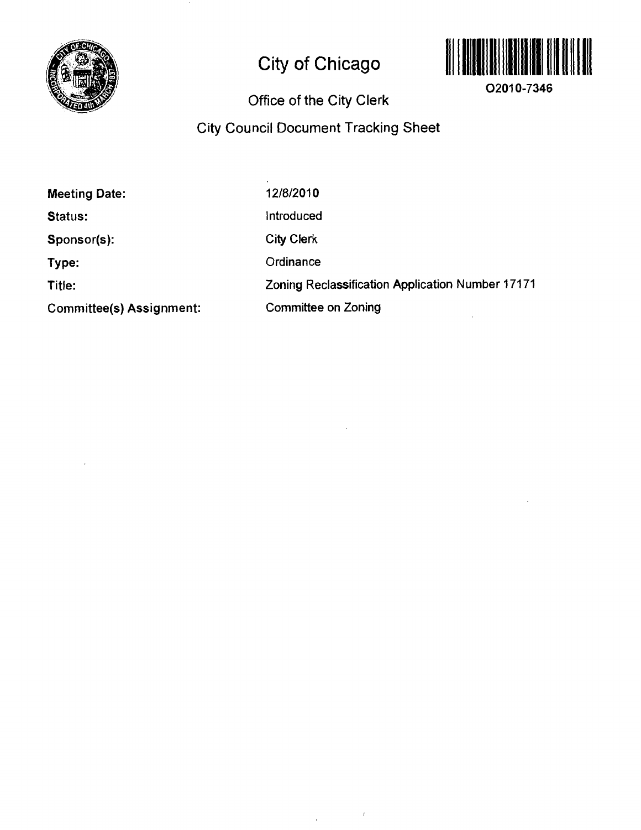

# **City of Chicago**



**02010-7346** 

# **Office of the City Clerk**

# **City Council Document Tracking Sheet**

 $\bar{J}$ 

 $\hat{\mathbf{v}}$ 

| <b>Meeting Date:</b>            | 12/8/2010                                        |
|---------------------------------|--------------------------------------------------|
| <b>Status:</b>                  | Introduced                                       |
| Sponsor(s):                     | <b>City Clerk</b>                                |
| Type:                           | Ordinance                                        |
| Title:                          | Zoning Reclassification Application Number 17171 |
| <b>Committee(s) Assignment:</b> | Committee on Zoning                              |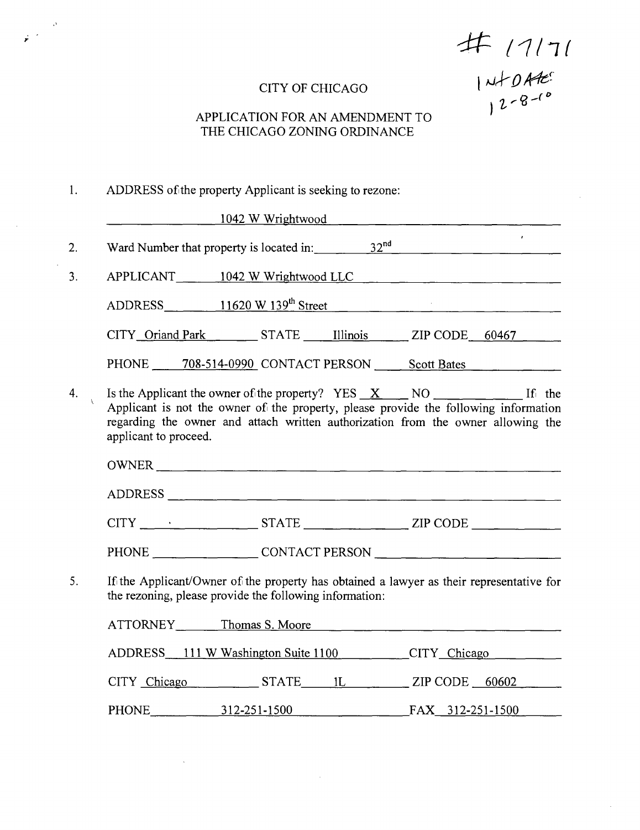$47171$ 

# CITY OF CHICAGO

# APPLICATION FOR AN AMENDMENT TO THE CHICAGO ZONING ORDINANCE

#### ADDRESS of the property Applicant is seeking to rezone:  $1.$

 $\hat{\mathbf{v}}$ 

|    |                                                                                                                                                                                                                                                                              | 1042 W Wrightwood 2008 2009 2009 2009 2010 2020 2021 2022 2023 2024 2022 2023 2024 2022 2023 2024 2022 2023 20 |  |              |
|----|------------------------------------------------------------------------------------------------------------------------------------------------------------------------------------------------------------------------------------------------------------------------------|----------------------------------------------------------------------------------------------------------------|--|--------------|
| 2. | Ward Number that property is located in: $32^{nd}$ 32 <sup>nd</sup>                                                                                                                                                                                                          |                                                                                                                |  | $\mathbf{r}$ |
| 3. | APPLICANT 1042 W Wrightwood LLC                                                                                                                                                                                                                                              |                                                                                                                |  |              |
|    | ADDRESS 11620 W 139 <sup>th</sup> Street 11620 W 139 <sup>th</sup> Street                                                                                                                                                                                                    |                                                                                                                |  |              |
|    | CITY Oriand Park STATE Illinois ZIP CODE 60467                                                                                                                                                                                                                               |                                                                                                                |  |              |
|    | PHONE 708-514-0990 CONTACT PERSON Scott Bates                                                                                                                                                                                                                                |                                                                                                                |  |              |
| 4. | Is the Applicant the owner of the property? YES $X$ NO $\sim$ NO If the<br>Applicant is not the owner of the property, please provide the following information<br>regarding the owner and attach written authorization from the owner allowing the<br>applicant to proceed. |                                                                                                                |  |              |
|    |                                                                                                                                                                                                                                                                              |                                                                                                                |  |              |
|    | ADDRESS                                                                                                                                                                                                                                                                      |                                                                                                                |  |              |
|    | $CITY$ $\qquad \qquad \cdot$ STATE $\qquad \qquad \text{ZIP CODE}$                                                                                                                                                                                                           |                                                                                                                |  |              |
|    | PHONE CONTACT PERSON                                                                                                                                                                                                                                                         |                                                                                                                |  |              |
| 5. | If the Applicant/Owner of the property has obtained a lawyer as their representative for<br>the rezoning, please provide the following information:                                                                                                                          |                                                                                                                |  |              |
|    | ATTORNEY Thomas S. Moore                                                                                                                                                                                                                                                     |                                                                                                                |  |              |
|    | ADDRESS 111 W Washington Suite 1100 CITY Chicago                                                                                                                                                                                                                             |                                                                                                                |  |              |
|    | CITY Chicago STATE 1L ZIP CODE 60602                                                                                                                                                                                                                                         |                                                                                                                |  |              |
|    | PHONE 312-251-1500 FAX 312-251-1500                                                                                                                                                                                                                                          |                                                                                                                |  |              |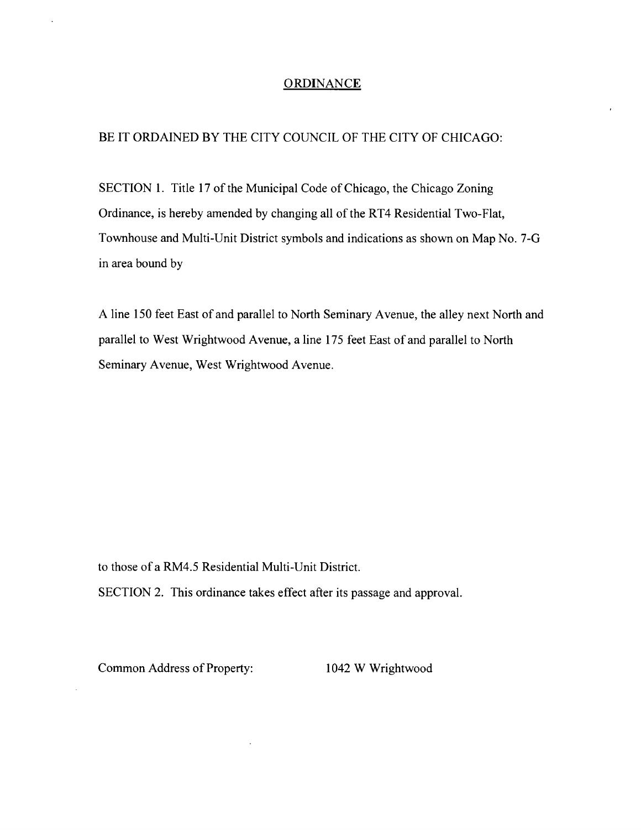#### **ORDINANCE**

#### BE IT ORDAINED BY THE CITY COUNCIL OF THE CITY OF CHICAGO:

SECTION 1. Title 17 of the Municipal Code of Chicago, the Chicago Zoning Ordinance, is hereby amended by changing all of the RT4 Residential Two-Flat, Townhouse and Multi-Unit District symbols and indications as shown on Map No. 7-G in area bound by

A line 150 feet East of and parallel to North Seminary Avenue, the alley next North and parallel to West Wrightwood Avenue, a line 175 feet East of and parallel to North Seminary Avenue, West Wrightwood Avenue.

to those of a RM4.5 Residential Multi-Unit District.

SECTION 2. This ordinance takes effect after its passage and approval.

Common Address of Property: 1042 W Wrightwood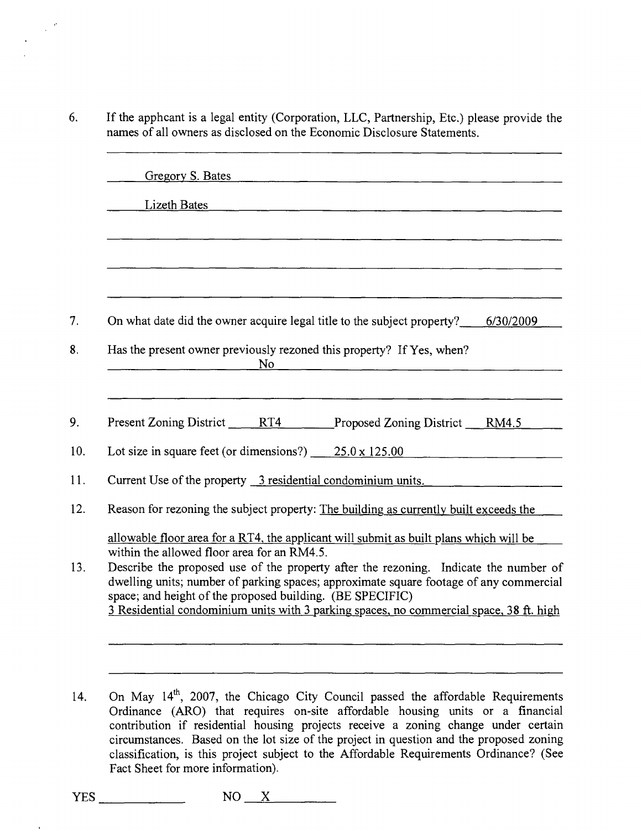6. If the apphcant is a legal entity (Corporation, LLC, Partnership, Etc.) please provide the names of all owners as disclosed on the Economic Disclosure Statements.

| Lizeth Bates<br><u> 1989 - John Harry Harry Harry Harry Harry Harry Harry Harry Harry Harry Harry Harry Harry Harry Harry Harry H</u>                                          |
|--------------------------------------------------------------------------------------------------------------------------------------------------------------------------------|
|                                                                                                                                                                                |
|                                                                                                                                                                                |
|                                                                                                                                                                                |
|                                                                                                                                                                                |
| On what date did the owner acquire legal title to the subject property?<br>6/30/2009                                                                                           |
| Has the present owner previously rezoned this property? If Yes, when?<br>No                                                                                                    |
|                                                                                                                                                                                |
| Present Zoning District RT4 Proposed Zoning District RM4.5                                                                                                                     |
| Lot size in square feet (or dimensions?) $25.0 \times 125.00$                                                                                                                  |
| Current Use of the property 3 residential condominium units.                                                                                                                   |
| Reason for rezoning the subject property: The building as currently built exceeds the                                                                                          |
| allowable floor area for a RT4, the applicant will submit as built plans which will be                                                                                         |
| within the allowed floor area for an RM4.5.                                                                                                                                    |
| Describe the proposed use of the property after the rezoning. Indicate the number of<br>dwelling units; number of parking spaces; approximate square footage of any commercial |
| space; and height of the proposed building. (BE SPECIFIC)                                                                                                                      |
| 3 Residential condominium units with 3 parking spaces, no commercial space, 38 ft. high                                                                                        |

14. On May 14<sup>th</sup>, 2007, the Chicago City Council passed the affordable Requirements Ordinance (ARO) that requires on-site affordable housing units or a financial contribution if residential housing projects receive a zoning change under certain circumstances. Based on the lot size of the project in question and the proposed zoning classification, is this project subject to the Affordable Requirements Ordinance? (See Fact Sheet for more information).

*YES NO \_X*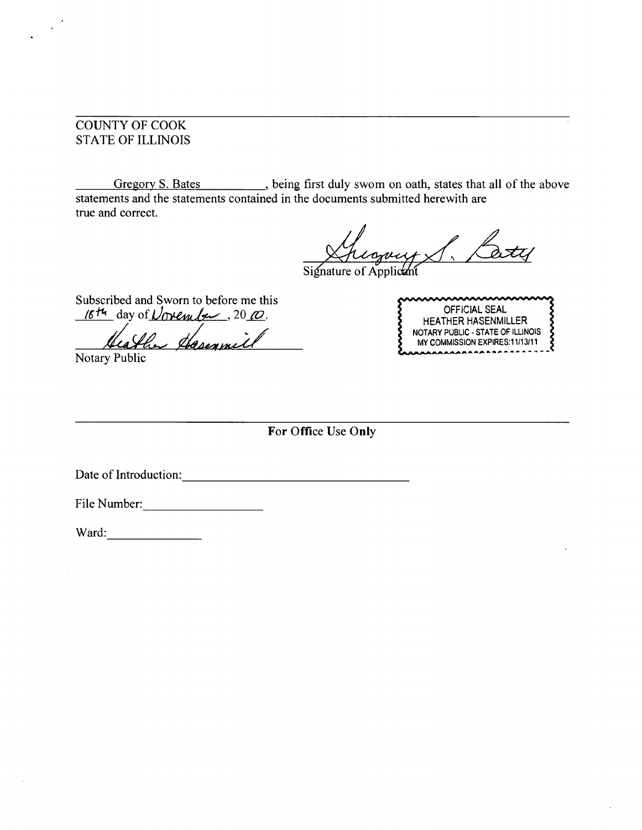# COUNTY OF COOK STATE OF ILLINOIS

Gregory S. Bates \_\_\_\_\_\_\_, being first duly swom on oath, states that all of the above statements and the statements contained in the documents submitted herewith are true and correct.

Signature of Applicant

Subscribed and Sworn to before me this  $16$ <sup>th</sup> day of *Uoven ber*, 20 $\varpi$ .

Heather Hasenmil

Notary Public

<u>aaaaaaaaaaaaaaa</u> OFFiCIAL SEAL HEATHER HASENMILLER NOTARY PUBLIC - STATE OF ILLINOIS MY COMMISSION EXPIRES: 11/13/11

**For Office Use Only** 

Date of Introduction:

File Number:

Ward: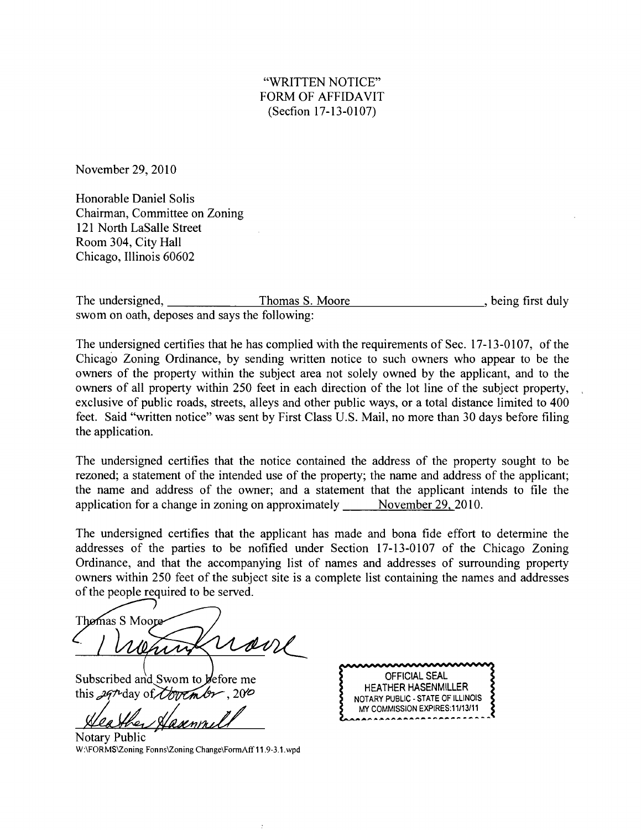### "WRITTEN NOTICE" FORM OF AFFIDAVIT (Secfion 17-13-0107)

November 29, 2010

Honorable Daniel Solis Chairman, Committee on Zoning 121 North LaSalle Street Room 304, City Hall Chicago, Illinois 60602

The undersigned, Thomas S. Moore that the set of the set of the understanding the understanding the method of the set of the understanding the unit of the understanding the unit of the unit of the unit of the unit of the u swom on oath, deposes and says the following:

The undersigned certifies that he has complied with the requirements of Sec. 17-13-0107, of the Chicago Zoning Ordinance, by sending written notice to such owners who appear to be the owners of the property within the subject area not solely owned by the applicant, and to the owners of all property within 250 feet in each direction of the lot line of the subject property, exclusive of public roads, streets, alleys and other public ways, or a total distance limited to 400 feet. Said "written notice" was sent by First Class U.S. Mail, no more than 30 days before filing the application.

The undersigned certifies that the notice contained the address of the property sought to be rezoned; a statement of the intended use of the property; the name and address of the applicant; the name and address of the owner; and a statement that the applicant intends to file the application for a change in zoning on approximately November 29, 2010.

The undersigned certifies that the applicant has made and bona fide effort to determine the addresses of the parties to be nofified under Section 17-13-0107 of the Chicago Zoning Ordinance, and that the accompanying list of names and addresses of surrounding property owners within 250 feet of the subject site is a complete list containing the names and addresses of the people required to be served.

Themas S Moore uon

Subscribed and Swom to *defore* me this  $297$  day of *Courtmbr*, 2000

Notary Public W:\FORMS\Zoning Fonns\Zoning Change\FormAff 11.9-3.1.wpd

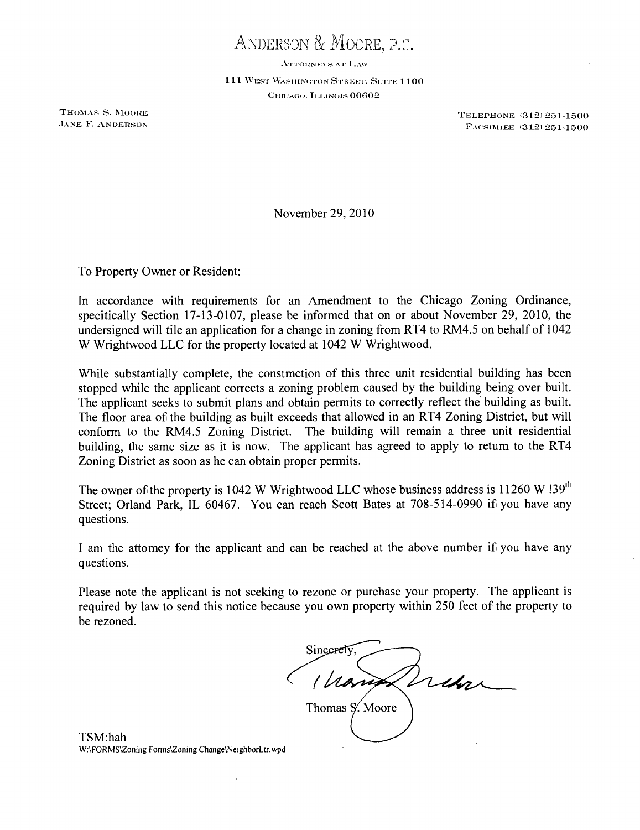ANDERSON & MOORE, P,C.

ATTORNEYS AT LAW

111 WEST WASHINGTON STREET. SUITE 1100 CHILAGO, ILLINOIS 00602

THOMAS S. MOORE<br>
THOMAS S. MOORE<br>
TANE F. ANDERSON<br>
TANE F. ANDERSON FACSIMIEE (312) 251-1500

November 29, 2010

To Property Owner or Resident:

In accordance with requirements for an Amendment to the Chicago Zoning Ordinance, specifically Section 17-13-0107, please be informed that on or about November 29, 2010, the undersigned will tile an application for a change in zoning from RT4 to RM4.5 on behalf of 1042 W Wrightwood LLC for the property located at 1042 W Wrightwood.

While substantially complete, the constmction of this three unit residential building has been stopped while the applicant corrects a zoning problem caused by the building being over built. The applicant seeks to submit plans and obtain permits to correctly reflect the building as built. The floor area of the building as built exceeds that allowed in an RT4 Zoning District, but will conform to the RM4.5 Zoning District. The building will remain a three unit residential building, the same size as it is now. The applicant has agreed to apply to retum to the RT4 Zoning District as soon as he can obtain proper permits.

The owner of the property is 1042 W Wrightwood LLC whose business address is 11260 W !39<sup>th</sup> Street; Oriand Park, IL 60467. You can reach Scott Bates at 708-514-0990 if you have any questions.

I am the attomey for the applicant and can be reached at the above number if you have any quesfions.

Please note the applicant is not seeking to rezone or purchase your property. The applicant is required by law to send this notice because you own property within 250 feet of the property to be rezoned.

Sincerety Trebar Thomas S. Moore

TSM:hah W.\FORMS\Zoning Forms\Zoning Change\NeighborLtr.wpd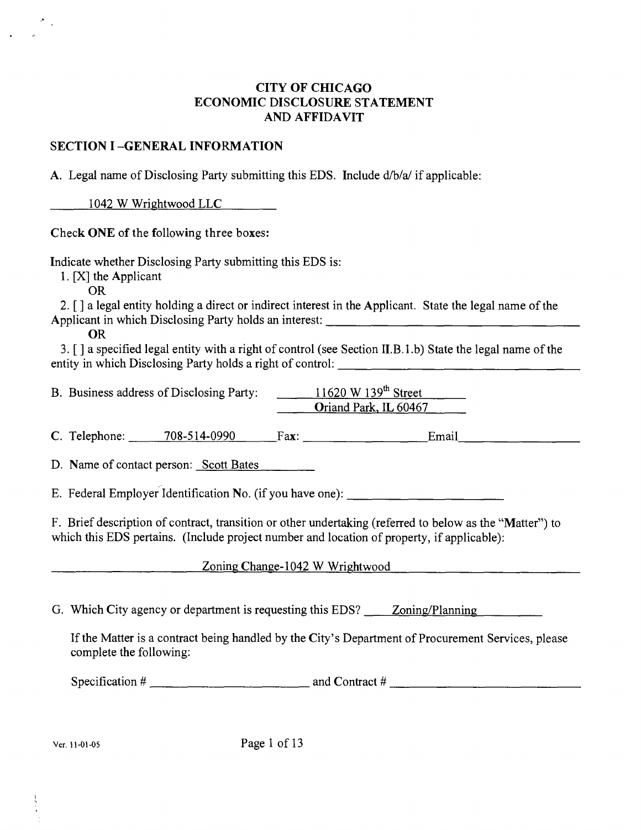### **CITY OF CfflCAGO ECONOMIC DISCLOSURE STATEMENT AND AFFIDAVIT**

### **SECTION I -GENERAL INFORMATION**

A. Legal name of Disclosing Party submitting this EDS. Include d/b/a/ if applicable:

1042 W Wrightwood LLC

**Check ONE of the following three boxes:** 

Indicate whether Disclosing Party submitting this EDS is:

1. [X] the Applicant

OR

2. [ ] a legal entity holding a direct or indirect interest in the Applicant. State the legal name of the Applicant in which Disclosing Party holds an interest:

OR

3. [ ] a specified legal entity with a right of control (see Secfion II.B. 1 .b) State the legal name of the entity in which Disclosing Party holds a right of control:

B. Business address of Disclosing Party: 11620 W 139<sup>th</sup> Street Oriand Park, IL 60467

C. Telephone:  $\qquad \qquad$  708-514-0990 Fax:  $\qquad \qquad$  Fax: Email

D. Name of contact person: Scott Bates

E. Federal Employer Identification No. (if you have one):

F. Brief description of contract, transition or other undertaking (referred to below as the "Matter") to which this EDS pertains. (Include project number and location of property, if applicable):

# Zoning Change-1042 W Wrightwood

G. Which City agency or department is requesting this EDS? Zoning/Planning

If the Matter is a contract being handled by the City's Department of Procurement Services, please complete the following:

Specification # and Contract #

Ver. 11-01-05 Page 1 of 13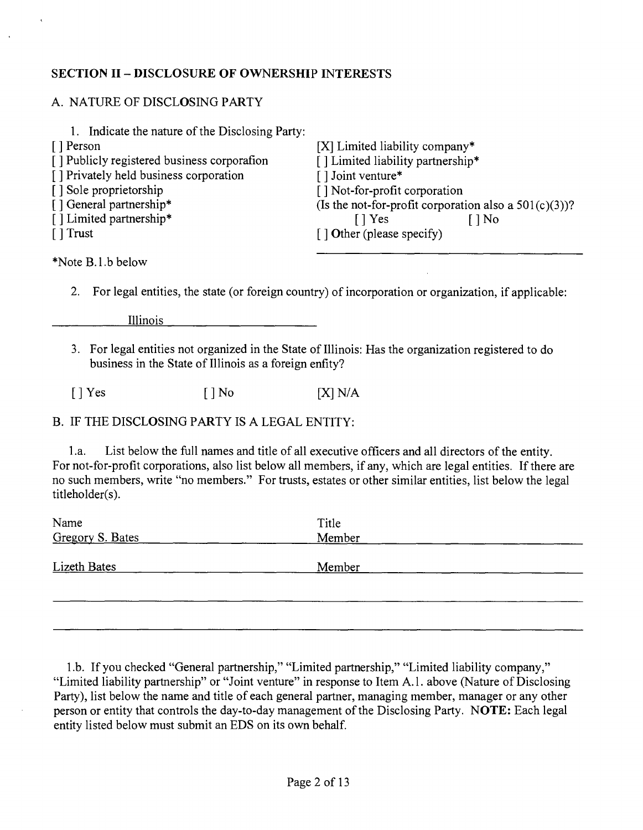# **SECTION II - DISCLOSURE OF OWNERSfflP INTERESTS**

# A. NATURE OF DISCLOSING PARTY

| 1. Indicate the nature of the Disclosing Party: |                                                          |
|-------------------------------------------------|----------------------------------------------------------|
| [] Person                                       | $[X]$ Limited liability company*                         |
| [] Publicly registered business corporation     | [] Limited liability partnership*                        |
| [] Privately held business corporation          | $\lceil \cdot \rceil$ Joint venture*                     |
| [] Sole proprietorship                          | [] Not-for-profit corporation                            |
| [] General partnership*                         | (Is the not-for-profit corporation also a $501(c)(3)$ )? |
| [] Limited partnership*                         | $\lceil \cdot \rceil$ Yes<br>[ ] No                      |
| $\lceil \cdot \rceil$ Trust                     | $\lceil$ 1 Other (please specify)                        |
|                                                 |                                                          |

\*Note B.l.b below

2. For legal entities, the state (or foreign country) of incorporation or organization, if applicable:

Illinois

3. For legal entities not organized in the State of Illinois: Has the organization registered to do business in the State of Illinois as a foreign enfity?

 $[ ]$  Yes  $[ ]$  No  $[$   $[$   $]$  N/A

# B. IF THE DISCLOSING PARTY IS A LEGAL ENTITY:

1 .a. List below the full names and title of all executive officers and all directors of the entity. For not-for-profit corporations, also list below all members, if any, which are legal entities. If there are no such members, write "no members." For trusts, estates or other similar entities, list below the legal titleholder(s).

| Name                | Title  |  |
|---------------------|--------|--|
| Gregory S. Bates    | Member |  |
|                     |        |  |
| <b>Lizeth Bates</b> | Member |  |
|                     |        |  |
|                     |        |  |
|                     |        |  |

1 .b. If you checked "General partnership," "Limited partnership," "Limited liability company," "Limited liability partnership" or "Joint venture" in response to Item A.1. above (Nature of Disclosing Party), list below the name and title of each general partner, managing member, manager or any other person or entity that controls the day-to-day management of the Disclosing Party. NOTE: Each legal entity listed below must submit an EDS on its own behalf.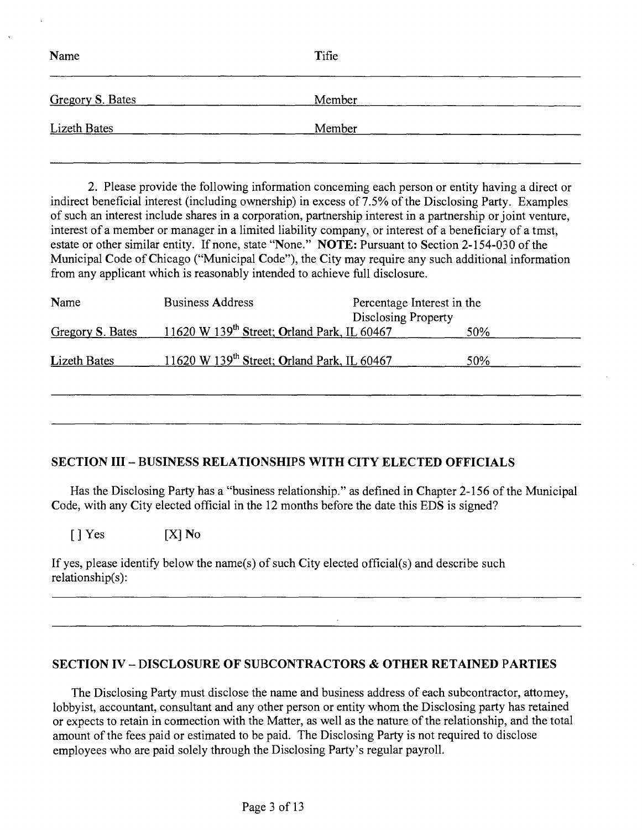| Name                | Tifie  |  |
|---------------------|--------|--|
| Gregory S. Bates    | Member |  |
| <b>Lizeth Bates</b> | Member |  |

2. Please provide the following information conceming each person or entity having a direct or indirect beneficial interest (including ownership) in excess of 7.5% of the Disclosing Party. Examples of such an interest include shares in a corporation, partnership interest in a partnership or joint venture, interest of a member or manager in a limited liability company, or interest of a beneficiary of a tmst, estate or other similar entity. If none, state "None." NOTE: Pursuant to Section 2-154-030 of the Municipal Code of Chicago ("Municipal Code"), the City may require any such additional information from any applicant which is reasonably intended to achieve full disclosure.

| Name                | <b>Business Address</b>                                 | Percentage Interest in the<br>Disclosing Property |     |
|---------------------|---------------------------------------------------------|---------------------------------------------------|-----|
| Gregory S. Bates    | 11620 W 139 <sup>th</sup> Street; Orland Park, IL 60467 |                                                   | 50% |
| <b>Lizeth Bates</b> | 11620 W 139 <sup>th</sup> Street; Orland Park, IL 60467 |                                                   | 50% |
|                     |                                                         |                                                   |     |

# **SECTION III - BUSINESS RELATIONSHIPS WITH CITY ELECTED OFFICIALS**

Has the Disclosing Party has a "business relationship." as defined in Chapter 2-156 of the Municipal Code, with any City elected official in the 12 months before the date this EDS is signed?

 $[$  ] Yes  $[X]$  No

If yes, please identify below the name(s) of such City elected official(s) and describe such relationship(s):

#### **SECTION IV - DISCLOSURE OF SUBCONTRACTORS & OTHER RETAINED PARTIES**

The Disclosing Party must disclose the name and business address of each subcontractor, attomey, lobbyist, accountant, consultant and any other person or entity whom the Disclosing party has retained or expects to retain in cormection with the Matter, as well as the nature of the relationship, and the total amount of the fees paid or estimated to be paid. The Disclosing Party is not required to disclose employees who are paid solely through the Disclosing Party's regular payroll.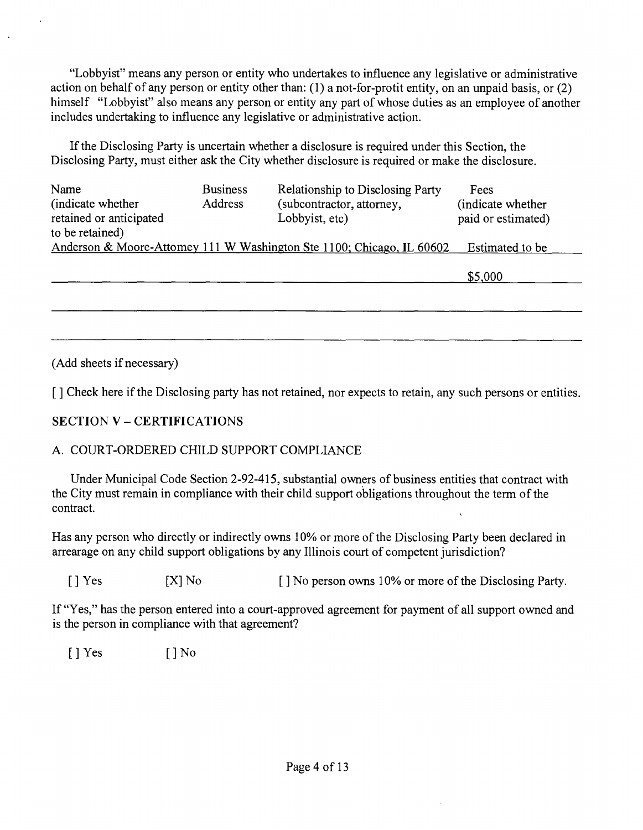"Lobbyist" means any person or entity who undertakes to influence any legislative or administrative action on behalf of any person or enfity other than: (1) a not-for-profit entity, on an unpaid basis, or (2) himself "Lobbyist" also means any person or entity any part of whose duties as an employee of another includes undertaking to influence any legislative or administrative action.

If the Disclosing Party is uncertain whether a disclosure is required under this Section, the Disclosing Party, must either ask the City whether disclosure is required or make the disclosure.

| Name<br>(indicate whether)<br>retained or anticipated<br>to be retained) | <b>Business</b><br>Address | Relationship to Disclosing Party<br>(subcontractor, attorney,<br>Lobbyist, etc) | Fees<br>(indicate whether)<br>paid or estimated) |
|--------------------------------------------------------------------------|----------------------------|---------------------------------------------------------------------------------|--------------------------------------------------|
|                                                                          |                            | Anderson & Moore-Attomey 111 W Washington Ste 1100; Chicago, IL 60602           | Estimated to be                                  |
|                                                                          |                            |                                                                                 | \$5,000                                          |
|                                                                          |                            |                                                                                 |                                                  |
|                                                                          |                            |                                                                                 |                                                  |

(Add sheets if necessary)

[ ] Check here if the Disclosing party has not retained, nor expects to retain, any such persons or entities.

# **SECTION V - CERTIFICATIONS**

# A. COURT-ORDERED CHILD SUPPORT COMPLIANCE

Under Municipal Code Section 2-92-415, substantial owners of business entities that contract with the City must remain in compliance with their child support obligations throughout the term of the contract.

Has any person who directly or indirectly owns 10% or more of the Disclosing Party been declared in arrearage on any child support obligations by any Illinois court of competent jurisdiction?

[ ] Yes [X] No [ ] No person owns 10% or more of the Disclosing Party.

If "Yes," has the person entered into a court-approved agreement for payment of all support owned and is the person in compliance with that agreement?

 $[$  | Yes  $[$  | No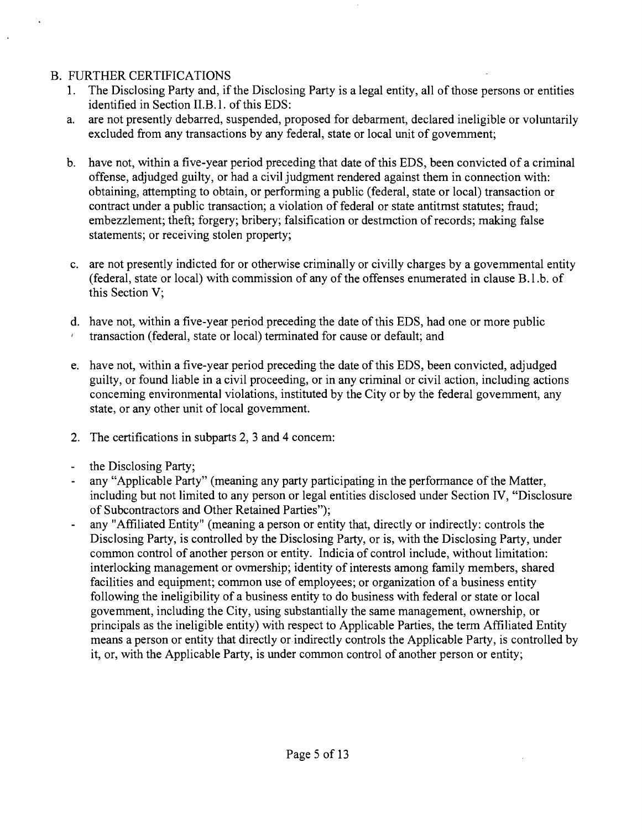# B. FURTHER CERTIFICATIONS

- 1. The Disclosing Party and, if the Disclosing Party is a legal entity, all of those persons or entifies identified in Section II.B.1. of this EDS:
- a. are not presently debarred, suspended, proposed for debarment, declared ineligible or voluntarily excluded from any transactions by any federal, state or local unit of govemment;
- b. have not, within a five-year period preceding that date of this EDS, been convicted of a criminal offense, adjudged guilty, or had a civil judgment rendered against them in connection with: obtaining, attempting to obtain, or performing a public (federal, state or local) transaction or contract under a public transaction; a violation of federal or state antitmst statutes; fraud; embezzlement; theft; forgery; bribery; falsification or destmction of records; making false statements; or receiving stolen property;
- c. are not presently indicted for or otherwise criminally or civilly charges by a govemmental entity (federal, state or local) with commission of any of the offenses enumerated in clause B.1.b. of this Section V;
- d. have not, within a five-year period preceding the date of this EDS, had one or more public transaction (federal, state or local) terminated for cause or default; and
- e. have not, within a five-year period preceding the date of this EDS, been convicted, adjudged guilty, or found liable in a civil proceeding, or in any criminal or civil action, including actions conceming environmental violations, instituted by the City or by the federal govemment, any state, or any other unit of local govemment.
- 2. The certifications in subparts 2, 3 and 4 concem:
- the Disclosing Party;
- any "Applicable Party" (meaning any party participating in the performance of the Matter, including but not limited to any person or legal entities disclosed under Section IV, "Disclosure of Subcontractors and Other Retained Parties");
- any "Affiliated Entity" (meaning a person or entity that, directly or indirectly: controls the Disclosing Party, is controlled by the Disclosing Party, or is, with the Disclosing Party, under common control of another person or entity. Indicia of control include, without limitation: interlocking management or ovmership; identity of interests among family members, shared facilities and equipment; common use of employees; or organization of a business entity following the ineligibility of a business entity to do business with federal or state or local govemment, including the City, using substantially the same management, ownership, or principals as the ineligible entity) with respect to Applicable Parties, the term Affiliated Entity means a person or entity that directly or indirectly controls the Applicable Party, is controlled by it, or, with the Applicable Party, is under common control of another person or entity;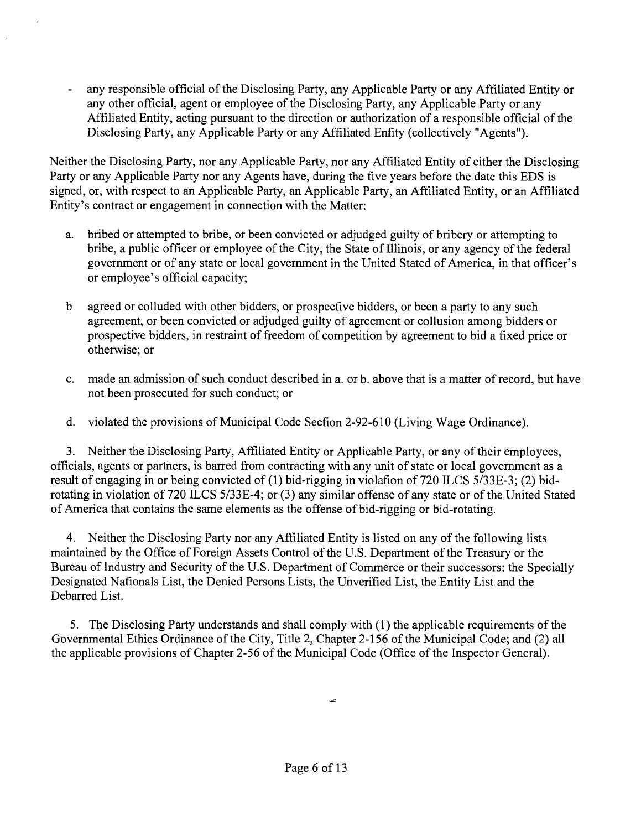any responsible official of the Disclosing Party, any Applicable Party or any Affiliated Entity or any other official, agent or employee of the Disclosing Party, any Applicable Party or any Affiliated Entity, acting pursuant to the direction or authorization of a responsible official of the Disclosing Party, any Applicable Party or any Affiliated Enfity (collectively "Agents").

Neither the Disclosing Party, nor any Applicable Party, nor any Affiliated Entity of either the Disclosing Party or any Applicable Party nor any Agents have, during the five years before the date this EDS is signed, or, with respect to an Applicable Party, an Applicable Party, an Affiliated Entity, or an Affiliated Entity's contract or engagement in connection with the Matter:

- a. bribed or attempted to bribe, or been convicted or adjudged guilty of bribery or attempting to bribe, a public officer or employee of the City, the State of Illinois, or any agency of the federal government or of any state or local government in the United Stated of America, in that officer's or employee's official capacity;
- b agreed or colluded with other bidders, or prospecfive bidders, or been a party to any such agreement, or been convicted or adjudged guilty of agreement or collusion among bidders or prospective bidders, in restraint of freedom of competition by agreement to bid a fixed price or otherwise; or
- c. made an admission of such conduct described in a. or b. above that is a matter of record, but have not been prosecuted for such conduct; or
- d. violated the provisions of Municipal Code Secfion 2-92-610 (Living Wage Ordinance).

3. Neither the Disclosing Party, Affiliated Entity or Applicable Party, or any of their employees, officials, agents or partners, is barred from contracting with any unit of state or local government as a result of engaging in or being convicted of (1) bid-rigging in violafion of 720 ILCS 5/33E-3; (2) bidrotating in violation of 720 ILCS 5/33E-4; or (3) any similar offense of any state or of the United Stated of America that contains the same elements as the offense of bid-rigging or bid-rotating.

4. Neither the Disclosing Party nor any Affiliated Entity is listed on any of the following lists maintained by the Office of Foreign Assets Control of the U.S. Department of the Treasury or the Bureau of Industry and Security of the U.S. Department of Commerce or their successors: the Specially Designated Nafionals List, the Denied Persons Lists, the Unverified List, the Entity List and the Debarred List.

5. The Disclosing Party understands and shall comply with (1) the applicable requirements of the Governmental Ethics Ordinance of the City, Title 2, Chapter 2-156 of the Municipal Code; and (2) all the applicable provisions of Chapter 2-56 of the Municipal Code (Office of the Inspector General).

 $\equiv$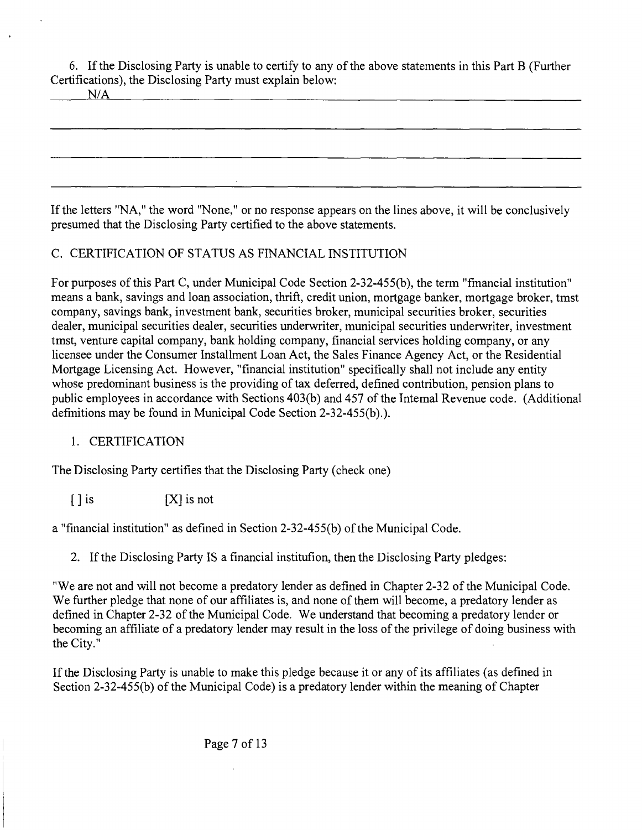6. If the Disclosing Party is unable to certify to any of the above statements in this Part B (Further Certifications), the Disclosing Party must explain below:

|--|

If the letters "NA," the word "None," or no response appears on the lines above, it will be conclusively presumed that the Disclosing Party certified to the above statements.

# C. CERTIFICATION OF STATUS AS FINANCIAL INSTITUTION

For purposes of this Part C, under Municipal Code Section 2-32-455(b), the term "fmancial institution" means a bank, savings and loan association, thrift, credit union, mortgage banker, mortgage broker, tmst company, savings bank, investment bank, securities broker, municipal securities broker, securities dealer, municipal securities dealer, securities underwriter, municipal securities underwriter, investment tmst, venture capital company, bank holding company, financial services holding company, or any licensee under the Consumer Installment Loan Act, the Sales Finance Agency Act, or the Residential Mortgage Licensing Act. However, "financial institution" specifically shall not include any entity whose predominant business is the providing of tax deferred, defined contribution, pension plans to public employees in accordance with Sections 403(b) and 457 of the Intemal Revenue code. (Additional defmitions may be found in Municipal Code Section 2-32-455(b).).

# 1. CERTIFICATION

The Disclosing Party certifies that the Disclosing Party (check one)

 $[ ]$  is  $[X]$  is not

a "financial institution" as defined in Section 2-32-455(b) of the Municipal Code.

2. If the Disclosing Party IS a financial institufion, then the Disclosing Party pledges:

"We are not and will not become a predatory lender as defined in Chapter 2-32 of the Municipal Code. We further pledge that none of our affiliates is, and none of them will become, a predatory lender as defined in Chapter 2-32 of the Municipal Code. We understand that becoming a predatory lender or becoming an affiliate of a predatory lender may result in the loss of the privilege of doing business with the City."

If the Disclosing Party is unable to make this pledge because it or any of its affiliates (as defined in Section 2-32-455(b) of the Municipal Code) is a predatory lender within the meaning of Chapter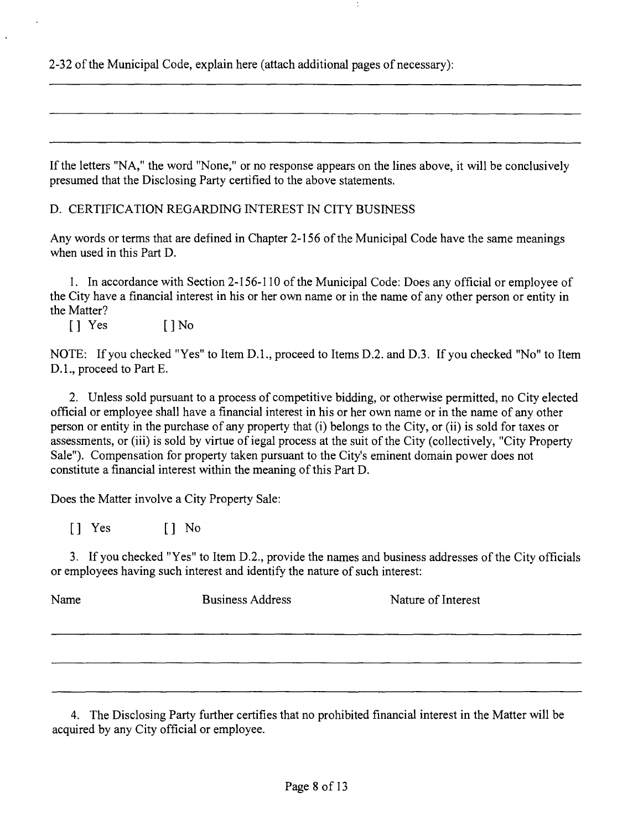2-32 of the Municipal Code, explain here (attach additional pages of necessary):

If the letters "NA," the word "None," or no response appears on the lines above, it will be conclusively presumed that the Disclosing Party certified to the above statements.

D. CERTIFICATION REGARDING INTEREST IN CITY BUSINESS

Any words or terms that are defined in Chapter 2-156 of the Municipal Code have the same meanings when used in this Part D.

1. In accordance with Section 2-156-110 of the Municipal Code: Does any official or employee of the City have a financial interest in his or her own name or in the name of any other person or entity in the Matter?

[] Yes [] No

NOTE: If you checked "Yes" to Item D.L, proceed to Items D.2. and D.3. If you checked "No" to Item D.L, proceed to Part E.

2. Unless sold pursuant to a process of competitive bidding, or otherwise permitted, no City elected official or employee shall have a financial interest in his or her own name or in the name of any other person or entity in the purchase of any property that (i) belongs to the City, or (ii) is sold for taxes or assessments, or (iii) is sold by virtue of iegal process at the suit of the City (collectively, "City Property Sale"). Compensation for property taken pursuant to the City's eminent domain power does not constitute a financial interest within the meaning of this Part D.

Does the Matter involve a City Property Sale:

[] Yes [] No

3. If you checked "Yes" to Item D.2., provide the names and business addresses of the City officials or employees having such interest and identify the nature of such interest:

| Name | <b>Business Address</b> | Nature of Interest |
|------|-------------------------|--------------------|
|      |                         |                    |
|      |                         |                    |

4. The Disclosing Party further certifies that no prohibited financial interest in the Matter will be acquired by any City official or employee.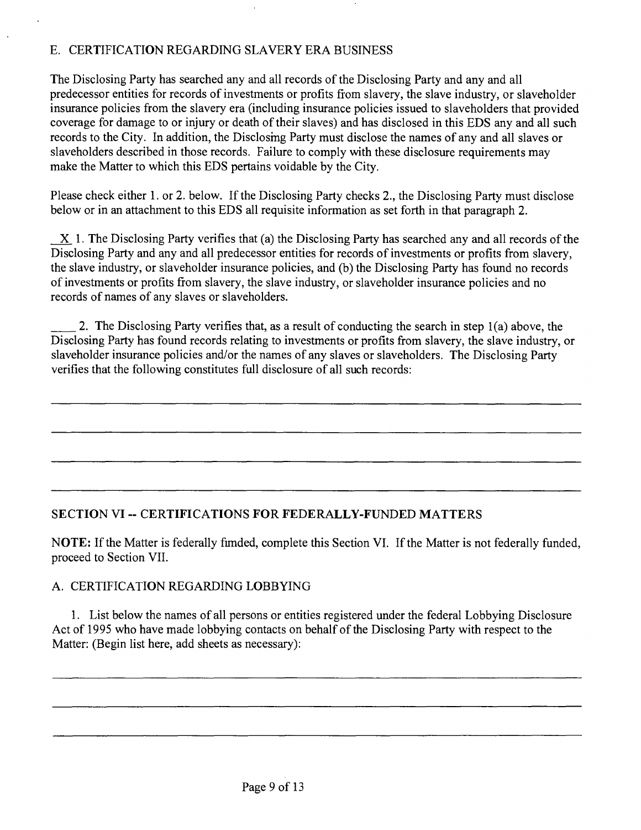# E. CERTIFICATION REGARDING SLAVERY ERA BUSINESS

The Disclosing Party has searched any and all records of the Disclosing Party and any and all predecessor entities for records of investments or profits from slavery, the slave industry, or slaveholder insurance policies from the slavery era (including insurance policies issued to slaveholders that provided coverage for damage to or injury or death of their slaves) and has disclosed in this EDS any and all such records to the City. In addition, the Disclosmg Party must disclose the names of any and all slaves or slaveholders described in those records. Failure to comply with these disclosure requirements may make the Matter to which this EDS pertains voidable by the City.

Please check either 1. or 2. below. If the Disclosing Party checks 2., the Disclosing Party must disclose below or in an attachment to this EDS all requisite information as set forth in that paragraph 2.

X 1. The Disclosing Party verifies that (a) the Disclosing Party has searched any and all records of the Disclosing Party and any and all predecessor entities for records of investments or profits from slavery, the slave industry, or slaveholder insurance policies, and (b) the Disclosing Party has found no records of investments or profits from slavery, the slave industry, or slaveholder insurance policies and no records of names of any slaves or slaveholders.

2. The Disclosing Party verifies that, as a result of conducting the search in step 1(a) above, the Disclosing Party has found records relating to investments or profits from slavery, the slave industry, or slaveholder insurance policies and/or the names of any slaves or slaveholders. The Disclosing Party verifies that the following constitutes full disclosure of all such records:

# **SECTION VI ~ CERTIFICATIONS FOR FEDERALLY-FUNDED MATTERS**

NOTE: If the Matter is federally fimded, complete this Section VI. If the Matter is not federally funded, proceed to Section VII.

# A. CERTIFICATION REGARDING LOBBYING

1. List below the names of all persons or entities registered under the federal Lobbying Disclosure Act of 1995 who have made lobbying contacts on behalf of the Disclosing Party with respect to the Matter: (Begin list here, add sheets as necessary):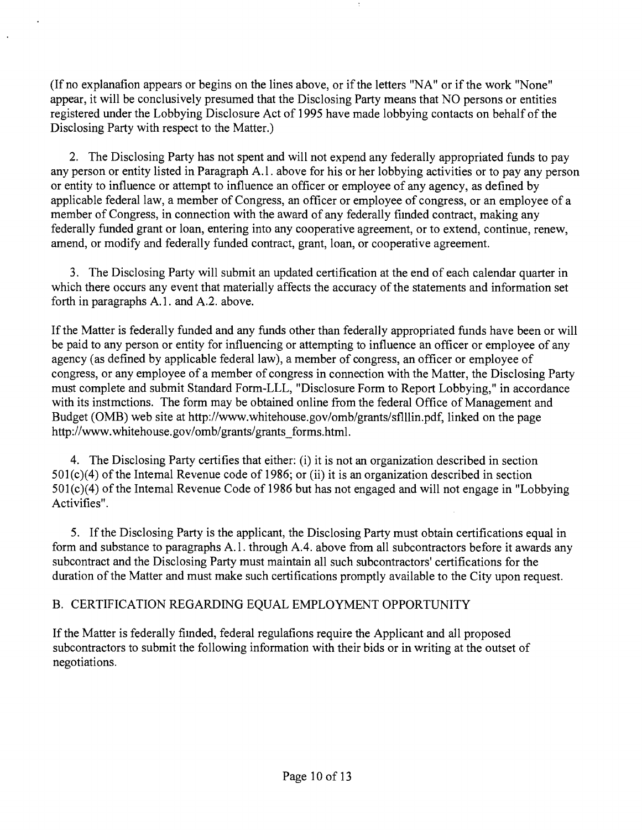(If no explanafion appears or begins on the lines above, or if the letters "NA" or if the work "None" appear, it will be conclusively presumed that the Disclosing Party means that NO persons or entities registered under the Lobbying Disclosure Act of 1995 have made lobbying contacts on behalf of the Disclosing Party with respect to the Matter.)

2. The Disclosing Party has not spent and will not expend any federally appropriated funds to pay any person or entity listed in Paragraph A.l . above for his or her lobbying activities or to pay any person or entity to influence or attempt to influence an officer or employee of any agency, as defined by applicable federal law, a member of Congress, an officer or employee of congress, or an employee of a member of Congress, in connection with the award of any federally fiinded contract, making any federally funded grant or loan, entering into any cooperative agreement, or to extend, continue, renew, amend, or modify and federally funded contract, grant, loan, or cooperative agreement.

3. The Disclosing Party will submit an updated certificafion at the end of each calendar quarter in which there occurs any event that materially affects the accuracy of the statements and information set forth in paragraphs A.1. and A.2. above.

If the Matter is federally funded and any funds other than federally appropriated funds have been or will be paid to any person or entity for influencing or attempting to influence an officer or employee of any agency (as defined by applicable federal law), a member of congress, an officer or employee of congress, or any employee of a member of congress in connection with the Matter, the Disclosing Party must complete and submit Standard Form-LLL, "Disclosure Form to Report Lobbying," in accordance with its instmctions. The form may be obtained online from the federal Office of Management and Budget (OMB) web site at http://www.whitehouse.gov/omb/grants/sflllin.pdf, linked on the page http://www.whitehouse.gov/omb/grants/grants\_forms.html.

4. The Disclosing Party certifies that either: (i) it is not an organization described in section  $501(c)(4)$  of the Intemal Revenue code of 1986; or (ii) it is an organization described in section 501(c)(4) of the Intemal Revenue Code of 1986 but has not engaged and will not engage in "Lobbying Activifies".

5. If the Disclosing Party is the applicant, the Disclosing Party must obtain certifications equal in form and substance to paragraphs A.l . through A.4. above from all subcontractors before it awards any subcontract and the Disclosing Party must maintain all such subcontractors' certifications for the duration of the Matter and must make such certifications promptly available to the City upon request.

# B. CERTIFICATION REGARDING EQUAL EMPLOYMENT OPPORTUNITY

If the Matter is federally fiinded, federal regulafions require the Applicant and all proposed subcontractors to submit the following information with their bids or in writing at the outset of negotiations.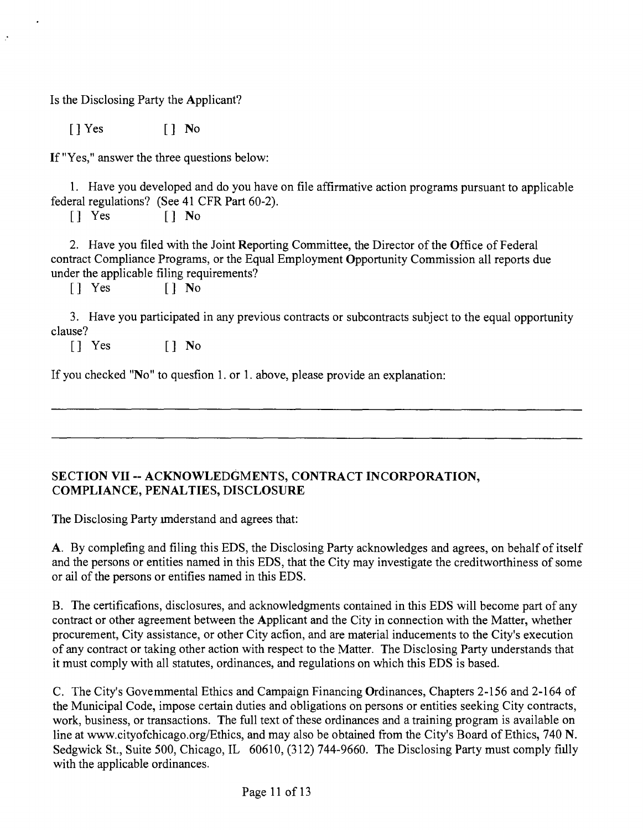Is the Disclosing Party the Applicant?

[]Yes [] No

 $\mathcal{C}$ 

If "Yes," answer the three questions below:

1. Have you developed and do you have on file affirmative action programs pursuant to applicable federal regulations? (See 41 CFR Part 60-2).<br> $\begin{bmatrix} 1 & \text{Yes} \\ 1 & \text{No} \end{bmatrix}$ 

 $[]$  No

2. Have you filed with the Joint Reporting Committee, the Director of the Office of Federal contract Compliance Programs, or the Equal Employment Opportunity Commission all reports due under the applicable filing requirements?

[] Yes [] No

3. Have you participated in any previous contracts or subcontracts subject to the equal opportunity clause?

[] Yes [] No

If you checked "No" to quesfion 1. or 1. above, please provide an explanation:

# **SECTION VII ~ ACKNOWLEDGMENTS, CONTRACT INCORPORATION, COMPLIANCE, PENALTIES, DISCLOSURE**

The Disclosing Party imderstand and agrees that:

A. By complefing and filing this EDS, the Disclosing Party acknowledges and agrees, on behalf of itself and the persons or entities named in this EDS, that the City may investigate the creditworthiness of some or ail of the persons or entifies named in this EDS.

B. The certificafions, disclosures, and acknowledgments contained in this EDS will become part of any contract or other agreement between the Applicant and the City in connection with the Matter, whether procurement, City assistance, or other City acfion, and are material inducements to the City's execution of any contract or taking other action with respect to the Matter. The Disclosing Party understands that it must comply with all statutes, ordinances, and regulations on which this EDS is based.

C. The City's Govemmental Ethics and Campaign Financing Ordinances, Chapters 2-156 and 2-164 of the Municipal Code, impose certain duties and obligations on persons or entities seeking City contracts, work, business, or transactions. The full text of these ordinances and a training program is available on line at www.cityofchicago.org/Ethics, and may also be obtained from the City's Board of Ethics, 740 N. Sedgwick St., Suite 500, Chicago, IL 60610, (312) 744-9660. The Disclosing Party must comply fiilly with the applicable ordinances.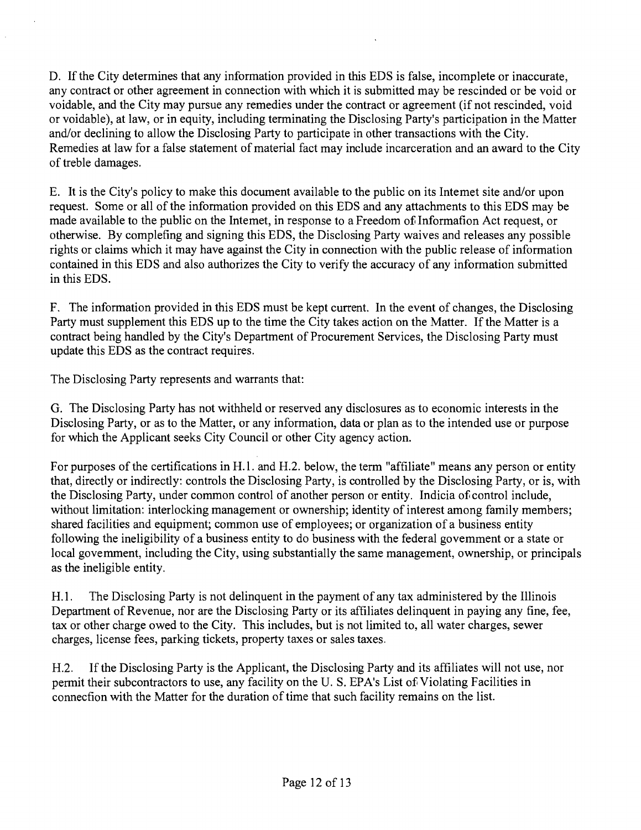D. If the City determines that any information provided in this EDS is false, incomplete or inaccurate, any contract or other agreement in connection with which it is submitted may be rescinded or be void or voidable, and the City may pursue any remedies under the contract or agreement (if not rescinded, void or voidable), at law, or in equity, including terminating the Disclosing Party's participation in the Matter and/or declining to allow the Disclosing Party to participate in other transactions with the City. Remedies at law for a false statement of material fact may include incarceration and an award to the City of treble damages.

E. It is the City's policy to make this document available to the public on its Intemet site and/or upon request. Some or all of the information provided on this EDS and any attachments to this EDS may be made available to the public on the Intemet, in response to a Freedom of Informafion Act request, or otherwise. By complefing and signing this EDS, the Disclosing Party waives and releases any possible rights or claims which it may have against the City in connection with the public release of information contained in this EDS and also authorizes the City to verify the accuracy of any information submitted in this EDS.

F. The information provided in this EDS must be kept cunent. In the event of changes, the Disclosing Party must supplement this EDS up to the time the City takes action on the Matter. If the Matter is a contract being handled by the City's Department of Procurement Services, the Disclosing Party must update this EDS as the contract requires.

The Disclosing Party represents and warrants that:

G. The Disclosing Party has not withheld or reserved any disclosures as to economic interests in the Disclosing Party, or as to the Matter, or any information, data or plan as to the intended use or purpose for which the Applicant seeks City Council or other City agency action.

For purposes of the certifications in H.l. and H.2. below, the term "affiliate" means any person or entity that, directly or indirectly: controls the Disclosing Party, is controlled by the Disclosing Party, or is, with the Disclosing Party, under common control of another person or entity. Indicia of control include, without limitation: interlocking management or ownership; identity of interest among family members; shared facilities and equipment; common use of employees; or organization of a business entity following the ineligibility of a business entity to do business with the federal govemment or a state or local govemment, including the City, using substantially the same management, ownership, or principals as the ineligible entity.

H. 1. The Disclosing Party is not delinquent in the payment of any tax administered by the Illinois Department of Revenue, nor are the Disclosing Party or its affiliates delinquent in paying any fine, fee, tax or other charge owed to the City. This includes, but is not limited to, all water charges, sewer charges, license fees, parking tickets, property taxes or sales taxes.

H.2. If the Disclosing Party is the Applicant, the Disclosing Party and its affiliates will not use, nor permit their subcontractors to use, any facility on the U. S. EPA's List of Violating Facilities in connecfion with the Matter for the duration of time that such facility remains on the list.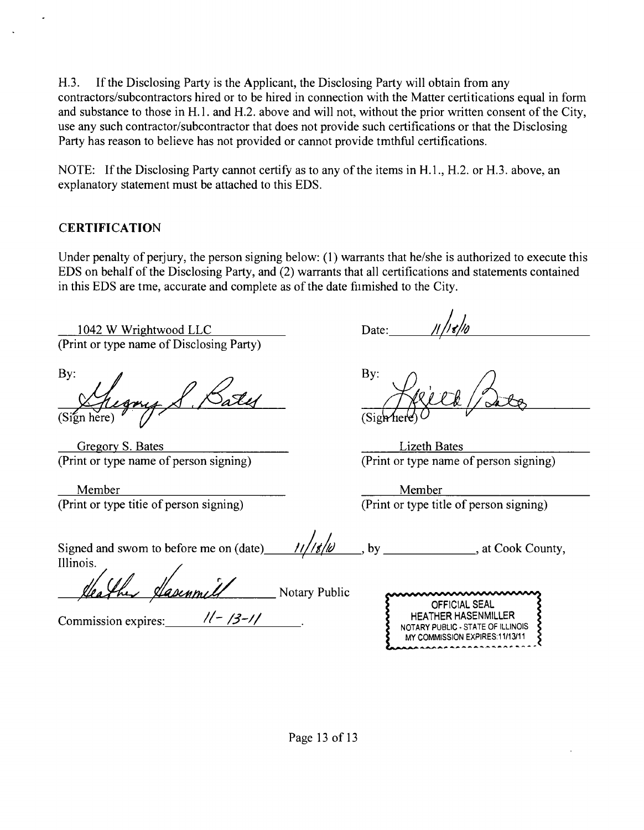H.3. If the Disclosing Party is the Applicant, the Disclosing Party will obtain from any contractors/subcontractors hired or to be hired in connection with the Matter certifications equal in form and substance to those in H.l. and H.2. above and will not, without the prior written consent of the City, use any such contractor/subcontractor that does not provide such certifications or that the Disclosing Party has reason to believe has not provided or cannot provide tmthful certificafions.

NOTE: If the Disclosing Party cannot certify as to any of the items in H.L, H.2. or H.3. above, an explanatory statement must be attached to this EDS.

# **CERTIFICATION**

Under penalty of perjury, the person signing below: (1) warrants that he/she is authorized to execute this EDS on behalf of the Disclosing Party, and (2) warrants that all certifications and statements contained in this EDS are tme, accurate and complete as of the date fiimished to the City.

1042 W Wrightwood LLC (Print or type name of Disclosing Party)

By: Bate (Sign here)  $^{\prime}$   $\prime$ 

Gregory S. Bates (Print or type name of person signing)

Member (Print or type tifie of person signing)

Date:

By: (SigMie

Lizeth Bates (Print or type name of person signing)

Member (Print or type title of person signing)

| Signed and swom to before me on (date) | 11/1810 | , at Cook County, |
|----------------------------------------|---------|-------------------|
| Illinois.                              |         |                   |

Veather Hasenmell Notary Public

Commission expires:  $\frac{1}{5}$  /3-1/

| nnnnnnnnnnnnn                          |
|----------------------------------------|
| <b>OFFICIAL SEAL</b>                   |
| <b>HEATHER HASENMILLER</b>             |
| 2<br>NOTARY PUBLIC - STATE OF ILLINOIS |
| MY COMMISSION EXPIRES:11/13/11         |
|                                        |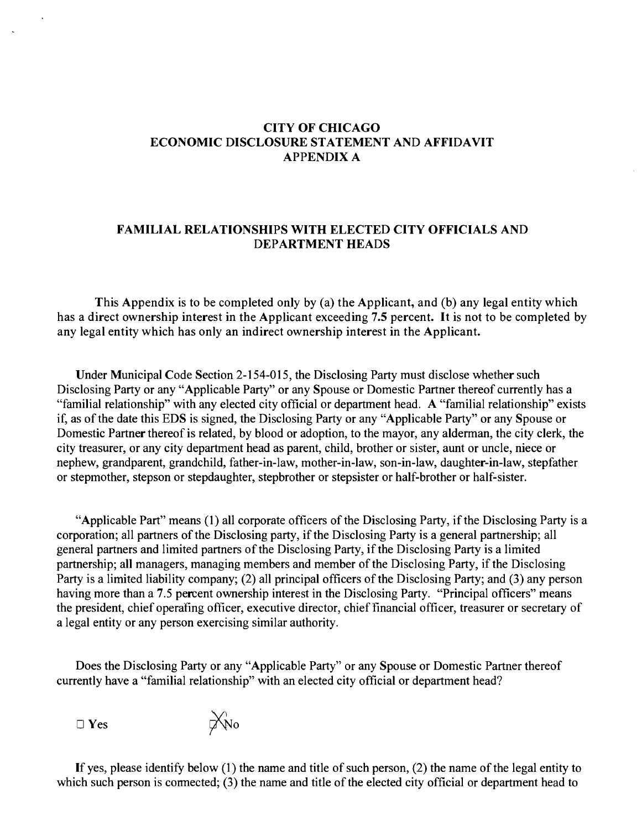#### **CITY OF CHICAGO ECONOMIC DISCLOSURE STATEMENT AND AFFIDAVIT APPENDIX A**

#### **FAMILIAL RELATIONSHIPS WITH ELECTED CITY OFFICIALS AND DEPARTMENT HEADS**

**This Appendix is to be completed only by (a) the Applicant, and (b) any legal entity which has a direct ownership interest in the Applicant exceeding 7.5 percent. It is not to be completed by any legal entity which has only an indirect ownership interest in the Applicant.** 

Under Municipal Code Section 2-154-015, the Disclosing Party must disclose whether such Disclosing Party or any "Applicable Party" or any Spouse or Domestic Partner thereof currently has a "familial relationship" with any elected city official or department head. A "familial relationship" exists if, as of the date this EDS is signed, the Disclosing Party or any "Applicable Party" or any Spouse or Domestic Partner thereof is related, by blood or adoption, to the mayor, any alderman, the city clerk, the city treasurer, or any city department head as parent, child, brother or sister, aunt or uncle, niece or nephew, grandparent, grandchild, father-in-law, mother-in-law, son-in-law, daughter-in-law, stepfather or stepmother, stepson or stepdaughter, stepbrother or stepsister or half-brother or half-sister.

"Applicable Part" means (1) all corporate officers of the Disclosing Party, if the Disclosing Party is a corporation; all partners of the Disclosing party, if the Disclosing Party is a general partnership; all general partners and limited partners of the Disclosing Party, if the Disclosing Party is a limited partnership; all managers, managing members and member of the Disclosing Party, if the Disclosing Party is a limited liability company; (2) all principal officers of the Disclosing Party; and (3) any person having more than a 7.5 percent ownership interest in the Disclosing Party. "Principal officers" means the president, chief operafing officer, executive director, chief financial officer, treasurer or secretary of a legal entity or any person exercising similar authority.

Does the Disclosing Party or any "Applicable Party" or any Spouse or Domestic Partner thereof currently have a "familial relationship" with an elected city official or department head?

 $\Box$  Yes

 $\chi_{\text{No}}$ 

If yes, please identify below (1) the name and title of such person, (2) the name of the legal entity to which such person is connected; (3) the name and title of the elected city official or department head to